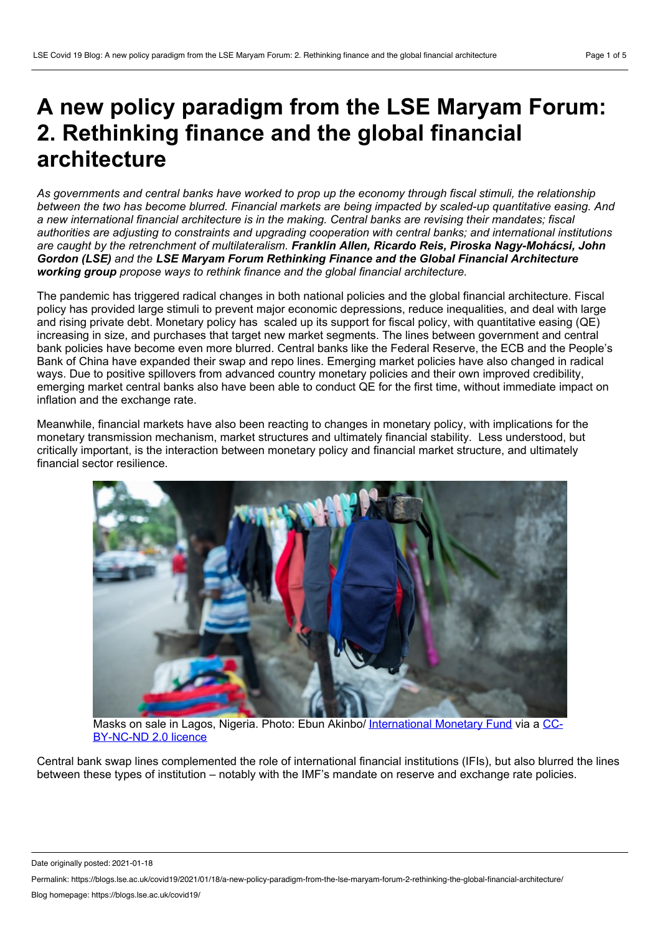# **A new policy paradigm from the LSE Maryam Forum: 2. Rethinking finance and the global financial architecture**

As governments and central banks have worked to prop up the economy through fiscal stimuli, the relationship *between the two has become blurred. Financial markets are being impacted by scaled-up quantitative easing. And a new international financial architecture is in the making. Central banks are revising their mandates; fiscal authorities are adjusting to constraints and upgrading cooperation with central banks; and international institutions are caught by the retrenchment of multilateralism. Franklin Allen, Ricardo Reis, Piroska Nagy-Mohácsi, John Gordon (LSE) and the LSE Maryam Forum Rethinking Finance and the Global Financial Architecture working group propose ways to rethink finance and the global financial architecture.*

The pandemic has triggered radical changes in both national policies and the global financial architecture. Fiscal policy has provided large stimuli to prevent major economic depressions, reduce inequalities, and deal with large and rising private debt. Monetary policy has scaled up its support for fiscal policy, with quantitative easing (QE) increasing in size, and purchases that target new market segments. The lines between government and central bank policies have become even more blurred. Central banks like the Federal Reserve, the ECB and the People's Bank of China have expanded their swap and repo lines. Emerging market policies have also changed in radical ways. Due to positive spillovers from advanced country monetary policies and their own improved credibility, emerging market central banks also have been able to conduct QE for the first time, without immediate impact on inflation and the exchange rate.

Meanwhile, financial markets have also been reacting to changes in monetary policy, with implications for the monetary transmission mechanism, market structures and ultimately financial stability. Less understood, but critically important, is the interaction between monetary policy and financial market structure, and ultimately financial sector resilience.



Masks on sale in Lagos, Nigeria. Photo: Ebun Akinbo/ [International](https://creativecommons.org/licenses/by-nc-nd/2.0/) Monetary Fund via a CC- BY-NC-ND 2.0 licence

Central bank swap lines complemented the role of international financial institutions (IFIs), but also blurred the lines between these types of institution – notably with the IMF's mandate on reserve and exchange rate policies.

Date originally posted: 2021-01-18

Permalink: https://blogs.lse.ac.uk/covid19/2021/01/18/a-new-policy-paradigm-from-the-lse-maryam-forum-2-rethinking-the-global-financial-architecture/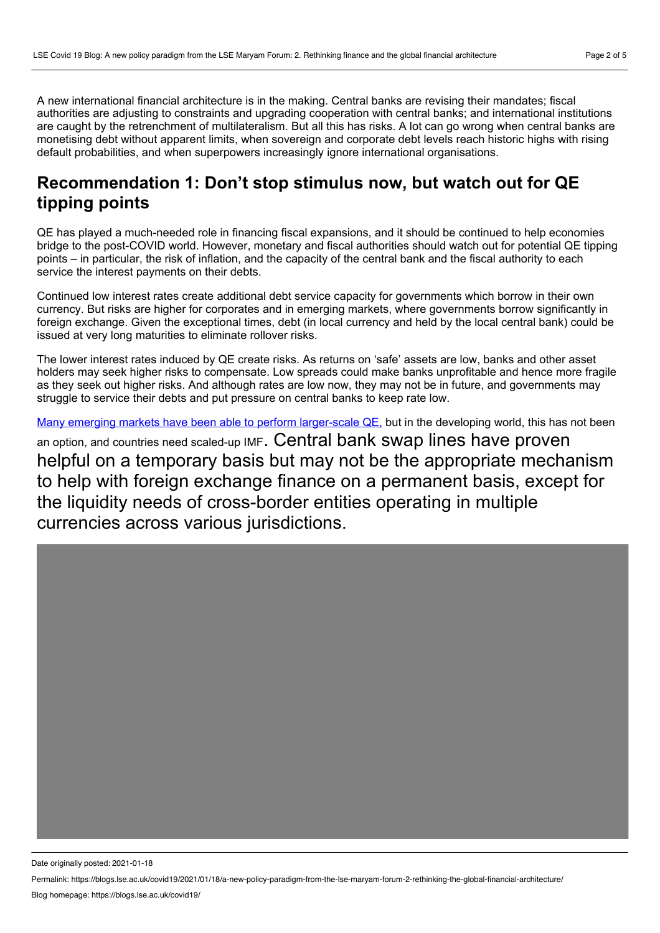A new international financial architecture is in the making. Central banks are revising their mandates; fiscal authorities are adjusting to constraints and upgrading cooperation with central banks; and international institutions are caught by the retrenchment of multilateralism. But all this has risks. A lot can go wrong when central banks are monetising debt without apparent limits, when sovereign and corporate debt levels reach historic highs with rising default probabilities, and when superpowers increasingly ignore international organisations.

## **Recommendation 1: Don't stop stimulus now, but watch out for QE tipping points**

QE has played a much-needed role in financing fiscal expansions, and it should be continued to help economies bridge to the post-COVID world. However, monetary and fiscal authorities should watch out for potential QE tipping points – in particular, the risk of inflation, and the capacity of the central bank and the fiscal authority to each service the interest payments on their debts.

Continued low interest rates create additional debt service capacity for governments which borrow in their own currency. But risks are higher for corporates and in emerging markets, where governments borrow significantly in foreign exchange. Given the exceptional times, debt (in local currency and held by the local central bank) could be issued at very long maturities to eliminate rollover risks.

The lower interest rates induced by QE create risks. As returns on 'safe' assets are low, banks and other asset holders may seek higher risks to compensate. Low spreads could make banks unprofitable and hence more fragile as they seek out higher risks. And although rates are low now, they may not be in future, and governments may struggle to service their debts and put pressure on central banks to keep rate low.

Many emerging markets have been able to perform [larger-scale](https://www.project-syndicate.org/commentary/emerging-markets-unconventional-monetary-policy-by-piroska-nagy-mohacsi-1-2020-08?barrier=accesspaylog) QE, but in the developing world, this has not been an option, and countries need scaled-up IMF. Central bank swap lines have proven helpful on a temporary basis but may not be the appropriate mechanism to help with foreign exchange finance on a permanent basis, except for the liquidity needs of cross-border entities operating in multiple currencies across various jurisdictions.

Date originally posted: 2021-01-18

Permalink: https://blogs.lse.ac.uk/covid19/2021/01/18/a-new-policy-paradigm-from-the-lse-maryam-forum-2-rethinking-the-global-financial-architecture/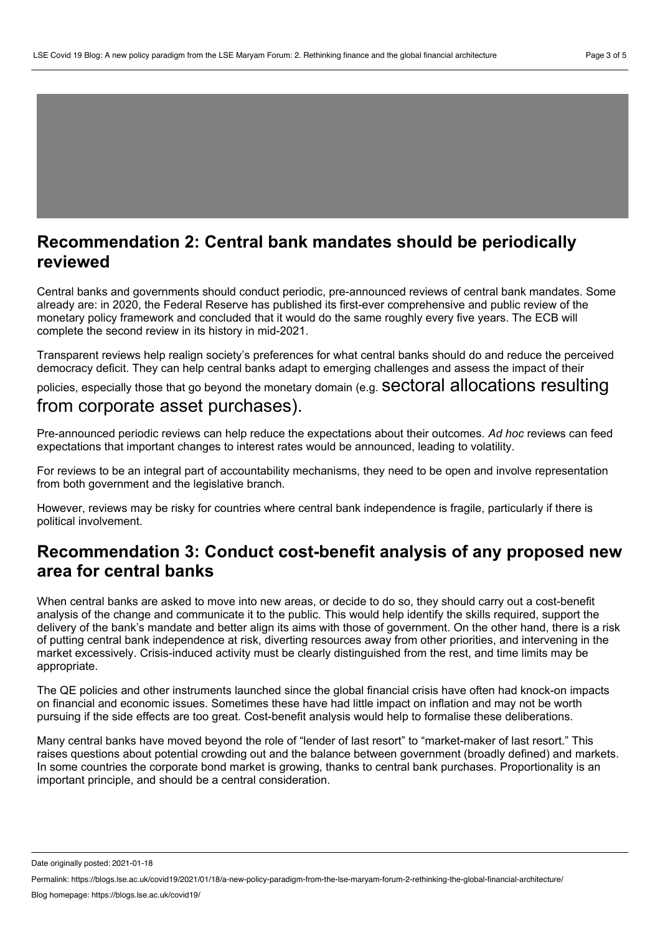#### **Recommendation 2: Central bank mandates should be periodically reviewed**

Central banks and governments should conduct periodic, pre-announced reviews of central bank mandates. Some already are: in 2020, the Federal Reserve has published its first-ever comprehensive and public review of the monetary policy framework and concluded that it would do the same roughly every five years. The ECB will complete the second review in its history in mid-2021.

Transparent reviews help realign society's preferences for what central banks should do and reduce the perceived democracy deficit. They can help central banks adapt to emerging challenges and assess the impact of their

policies, especially those that go beyond the monetary domain (e.g. Sectoral allocations resulting

#### from corporate asset purchases).

Pre-announced periodic reviews can help reduce the expectations about their outcomes. *Ad hoc* reviews can feed expectations that important changes to interest rates would be announced, leading to volatility.

For reviews to be an integral part of accountability mechanisms, they need to be open and involve representation from both government and the legislative branch.

However, reviews may be risky for countries where central bank independence is fragile, particularly if there is political involvement.

### **Recommendation 3: Conduct cost-benefit analysis of any proposed new area for central banks**

When central banks are asked to move into new areas, or decide to do so, they should carry out a cost-benefit analysis of the change and communicate it to the public. This would help identify the skills required, support the delivery of the bank's mandate and better align its aims with those of government. On the other hand, there is a risk of putting central bank independence at risk, diverting resources away from other priorities, and intervening in the market excessively. Crisis-induced activity must be clearly distinguished from the rest, and time limits may be appropriate.

The QE policies and other instruments launched since the global financial crisis have often had knock-on impacts on financial and economic issues. Sometimes these have had little impact on inflation and may not be worth pursuing if the side effects are too great. Cost-benefit analysis would help to formalise these deliberations.

Many central banks have moved beyond the role of "lender of last resort" to "market-maker of last resort." This raises questions about potential crowding out and the balance between government (broadly defined) and markets. In some countries the corporate bond market is growing, thanks to central bank purchases. Proportionality is an important principle, and should be a central consideration.

Date originally posted: 2021-01-18

Permalink: https://blogs.lse.ac.uk/covid19/2021/01/18/a-new-policy-paradigm-from-the-lse-maryam-forum-2-rethinking-the-global-financial-architecture/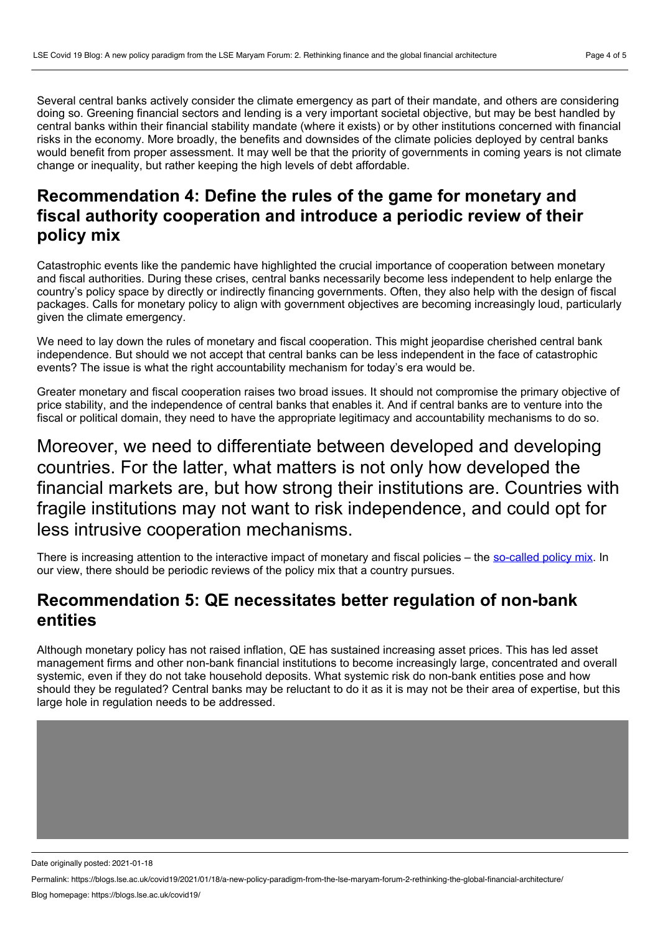Several central banks actively consider the climate emergency as part of their mandate, and others are considering doing so. Greening financial sectors and lending is a very important societal objective, but may be best handled by central banks within their financial stability mandate (where it exists) or by other institutions concerned with financial risks in the economy. More broadly, the benefits and downsides of the climate policies deployed by central banks would benefit from proper assessment. It may well be that the priority of governments in coming years is not climate change or inequality, but rather keeping the high levels of debt affordable.

# **Recommendation 4: Define the rules of the game for monetary and fiscal authority cooperation and introduce a periodic review of their policy mix**

Catastrophic events like the pandemic have highlighted the crucial importance of cooperation between monetary and fiscal authorities. During these crises, central banks necessarily become less independent to help enlarge the country's policy space by directly or indirectly financing governments. Often, they also help with the design of fiscal packages. Calls for monetary policy to align with government objectives are becoming increasingly loud, particularly given the climate emergency.

We need to lay down the rules of monetary and fiscal cooperation. This might jeopardise cherished central bank independence. But should we not accept that central banks can be less independent in the face of catastrophic events? The issue is what the right accountability mechanism for today's era would be.

Greater monetary and fiscal cooperation raises two broad issues. It should not compromise the primary objective of price stability, and the independence of central banks that enables it. And if central banks are to venture into the fiscal or political domain, they need to have the appropriate legitimacy and accountability mechanisms to do so.

Moreover, we need to differentiate between developed and developing countries. For the latter, what matters is not only how developed the financial markets are, but how strong their institutions are. Countries with fragile institutions may not want to risk independence, and could opt for less intrusive cooperation mechanisms.

There is increasing attention to the interactive impact of monetary and fiscal policies – the [so-called](https://voxeu.org/article/stronger-together-policy-mix-strikes-back) policy mix. In our view, there should be periodic reviews of the policy mix that a country pursues.

### **Recommendation 5: QE necessitates better regulation of non-bank entities**

Although monetary policy has not raised inflation, QE has sustained increasing asset prices. This has led asset management firms and other non-bank financial institutions to become increasingly large, concentrated and overall systemic, even if they do not take household deposits. What systemic risk do non-bank entities pose and how should they be regulated? Central banks may be reluctant to do it as it is may not be their area of expertise, but this large hole in regulation needs to be addressed.

Date originally posted: 2021-01-18

Permalink: https://blogs.lse.ac.uk/covid19/2021/01/18/a-new-policy-paradigm-from-the-lse-maryam-forum-2-rethinking-the-global-financial-architecture/